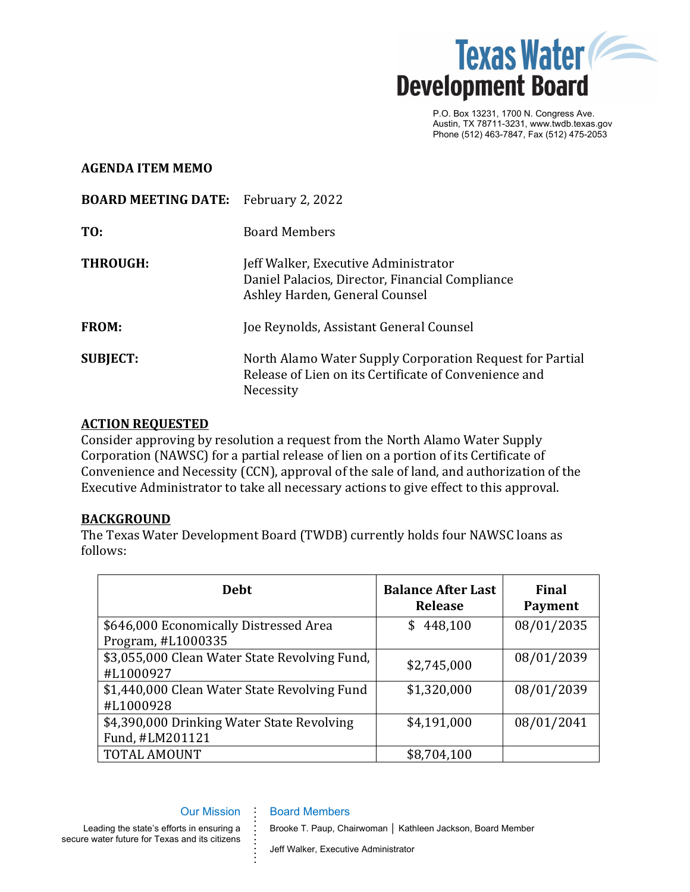

P.O. Box 13231, 1700 N. Congress Ave. Austin, TX 78711-3231, www.twdb.texas.gov Phone (512) 463-7847, Fax (512) 475-2053

## **AGENDA ITEM MEMO**

| <b>BOARD MEETING DATE:</b> February 2, 2022 |                                                                                                                                |
|---------------------------------------------|--------------------------------------------------------------------------------------------------------------------------------|
| TO:                                         | <b>Board Members</b>                                                                                                           |
| <b>THROUGH:</b>                             | Jeff Walker, Executive Administrator<br>Daniel Palacios, Director, Financial Compliance<br>Ashley Harden, General Counsel      |
| <b>FROM:</b>                                | Joe Reynolds, Assistant General Counsel                                                                                        |
| <b>SUBJECT:</b>                             | North Alamo Water Supply Corporation Request for Partial<br>Release of Lien on its Certificate of Convenience and<br>Necessity |

## **ACTION REQUESTED**

Consider approving by resolution a request from the North Alamo Water Supply Corporation (NAWSC) for a partial release of lien on a portion of its Certificate of Convenience and Necessity (CCN), approval of the sale of land, and authorization of the Executive Administrator to take all necessary actions to give effect to this approval.

## **BACKGROUND**

The Texas Water Development Board (TWDB) currently holds four NAWSC loans as follows:

| <b>Debt</b>                                                   | <b>Balance After Last</b><br><b>Release</b> | Final<br>Payment |
|---------------------------------------------------------------|---------------------------------------------|------------------|
| \$646,000 Economically Distressed Area<br>Program, #L1000335  | 448,100<br>\$                               | 08/01/2035       |
| \$3,055,000 Clean Water State Revolving Fund,<br>#L1000927    | \$2,745,000                                 | 08/01/2039       |
| \$1,440,000 Clean Water State Revolving Fund<br>#L1000928     | \$1,320,000                                 | 08/01/2039       |
| \$4,390,000 Drinking Water State Revolving<br>Fund, #LM201121 | \$4,191,000                                 | 08/01/2041       |
| TOTAL AMOUNT                                                  | \$8,704,100                                 |                  |

#### Our Mission

**. . . . . . . . . . . . .**

### Board Members

Leading the state's efforts in ensuring a secure water future for Texas and its citizens

### Brooke T. Paup, Chairwoman │ Kathleen Jackson, Board Member

Jeff Walker, Executive Administrator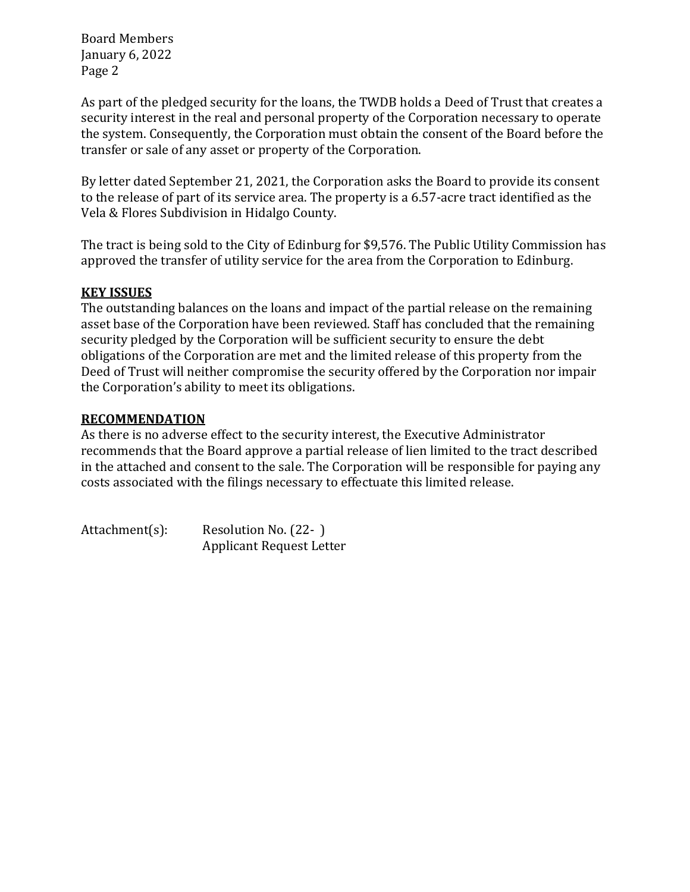Board Members January 6, 2022 Page 2

As part of the pledged security for the loans, the TWDB holds a Deed of Trust that creates a security interest in the real and personal property of the Corporation necessary to operate the system. Consequently, the Corporation must obtain the consent of the Board before the transfer or sale of any asset or property of the Corporation.

By letter dated September 21, 2021, the Corporation asks the Board to provide its consent to the release of part of its service area. The property is a 6.57-acre tract identified as the Vela & Flores Subdivision in Hidalgo County.

The tract is being sold to the City of Edinburg for \$9,576. The Public Utility Commission has approved the transfer of utility service for the area from the Corporation to Edinburg.

# **KEY ISSUES**

The outstanding balances on the loans and impact of the partial release on the remaining asset base of the Corporation have been reviewed. Staff has concluded that the remaining security pledged by the Corporation will be sufficient security to ensure the debt obligations of the Corporation are met and the limited release of this property from the Deed of Trust will neither compromise the security offered by the Corporation nor impair the Corporation's ability to meet its obligations.

# **RECOMMENDATION**

As there is no adverse effect to the security interest, the Executive Administrator recommends that the Board approve a partial release of lien limited to the tract described in the attached and consent to the sale. The Corporation will be responsible for paying any costs associated with the filings necessary to effectuate this limited release.

Attachment(s): Resolution No. (22-) Applicant Request Letter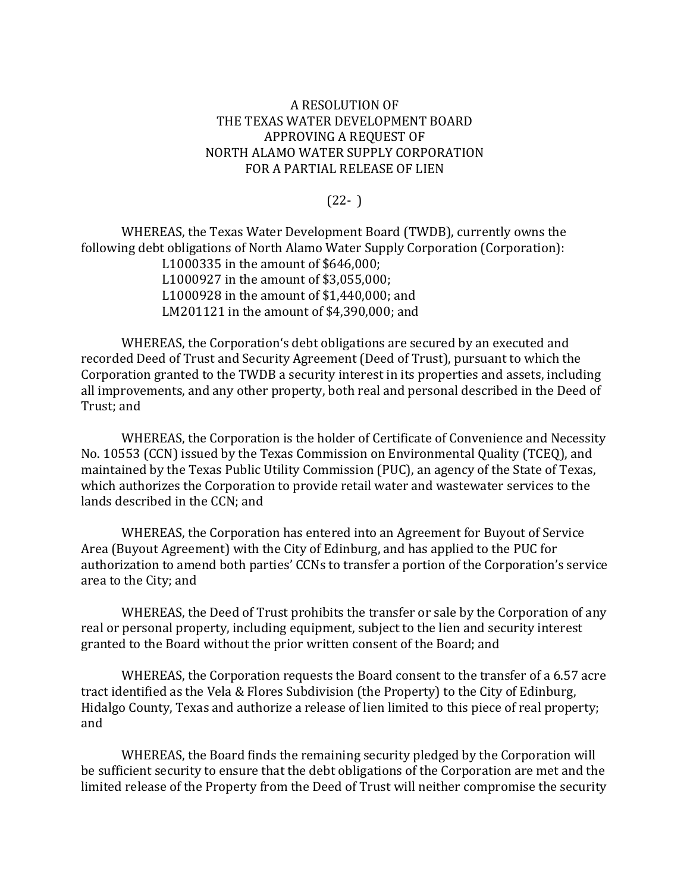## A RESOLUTION OF THE TEXAS WATER DEVELOPMENT BOARD APPROVING A REQUEST OF NORTH ALAMO WATER SUPPLY CORPORATION FOR A PARTIAL RELEASE OF LIEN

## $(22- )$

WHEREAS, the Texas Water Development Board (TWDB), currently owns the following debt obligations of North Alamo Water Supply Corporation (Corporation):

L1000335 in the amount of \$646,000; L1000927 in the amount of \$3,055,000; L1000928 in the amount of \$1,440,000; and LM201121 in the amount of \$4,390,000; and

WHEREAS, the Corporation's debt obligations are secured by an executed and recorded Deed of Trust and Security Agreement (Deed of Trust), pursuant to which the Corporation granted to the TWDB a security interest in its properties and assets, including all improvements, and any other property, both real and personal described in the Deed of Trust; and

WHEREAS, the Corporation is the holder of Certificate of Convenience and Necessity No. 10553 (CCN) issued by the Texas Commission on Environmental Quality (TCEQ), and maintained by the Texas Public Utility Commission (PUC), an agency of the State of Texas, which authorizes the Corporation to provide retail water and wastewater services to the lands described in the CCN; and

WHEREAS, the Corporation has entered into an Agreement for Buyout of Service Area (Buyout Agreement) with the City of Edinburg, and has applied to the PUC for authorization to amend both parties' CCNs to transfer a portion of the Corporation's service area to the City; and

WHEREAS, the Deed of Trust prohibits the transfer or sale by the Corporation of any real or personal property, including equipment, subject to the lien and security interest granted to the Board without the prior written consent of the Board; and

WHEREAS, the Corporation requests the Board consent to the transfer of a 6.57 acre tract identified as the Vela & Flores Subdivision (the Property) to the City of Edinburg, Hidalgo County, Texas and authorize a release of lien limited to this piece of real property; and

WHEREAS, the Board finds the remaining security pledged by the Corporation will be sufficient security to ensure that the debt obligations of the Corporation are met and the limited release of the Property from the Deed of Trust will neither compromise the security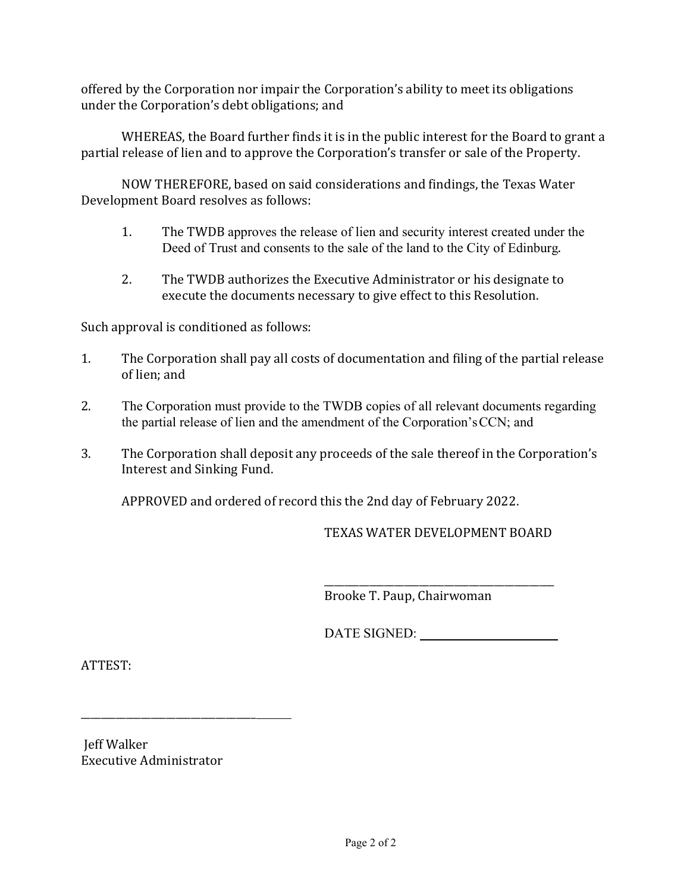offered by the Corporation nor impair the Corporation's ability to meet its obligations under the Corporation's debt obligations; and

WHEREAS, the Board further finds it is in the public interest for the Board to grant a partial release of lien and to approve the Corporation's transfer or sale of the Property.

NOW THEREFORE, based on said considerations and findings, the Texas Water Development Board resolves as follows:

- 1. The TWDB approves the release of lien and security interest created under the Deed of Trust and consents to the sale of the land to the City of Edinburg.
- 2. The TWDB authorizes the Executive Administrator or his designate to execute the documents necessary to give effect to this Resolution.

Such approval is conditioned as follows:

- 1. The Corporation shall pay all costs of documentation and filing of the partial release of lien; and
- 2. The Corporation must provide to the TWDB copies of all relevant documents regarding the partial release of lien and the amendment of the Corporation'sCCN; and
- 3. The Corporation shall deposit any proceeds of the sale thereof in the Corporation's Interest and Sinking Fund.

APPROVED and ordered of record this the 2nd day of February 2022.

TEXAS WATER DEVELOPMENT BOARD

\_\_\_\_\_\_\_\_\_\_\_\_\_\_\_\_\_\_\_\_\_\_\_\_\_\_\_\_\_\_\_\_\_\_\_\_\_\_\_\_\_\_\_\_\_\_ Brooke T. Paup, Chairwoman

DATE SIGNED:

ATTEST:

 Jeff Walker Executive Administrator

\_\_\_\_\_\_\_\_\_\_\_\_\_\_\_\_\_\_\_\_\_\_\_\_\_\_\_\_\_\_\_\_\_\_\_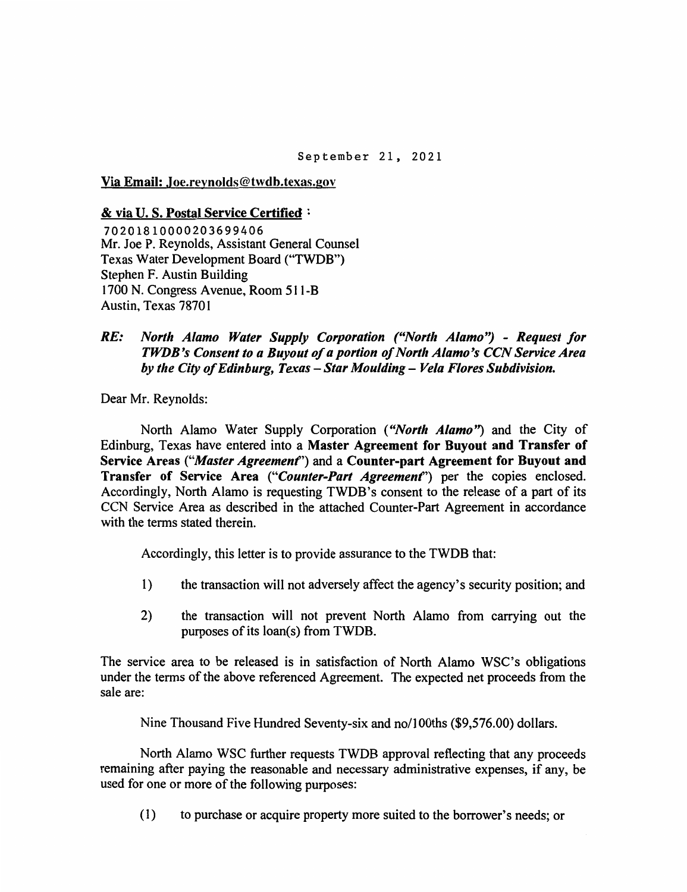Via Email: Joe.revnolds@twdb.texas.gov

### & via U.S. Postal Service Certified:

70201810000203699406 Mr. Joe P. Revnolds, Assistant General Counsel Texas Water Development Board ("TWDB") Stephen F. Austin Building 1700 N. Congress Avenue, Room 511-B Austin, Texas 78701

 $RE:$ North Alamo Water Supply Corporation ("North Alamo") - Request for TWDB's Consent to a Buyout of a portion of North Alamo's CCN Service Area by the City of Edinburg, Texas - Star Moulding - Vela Flores Subdivision.

Dear Mr. Reynolds:

North Alamo Water Supply Corporation ("North Alamo") and the City of Edinburg, Texas have entered into a Master Agreement for Buyout and Transfer of Service Areas ("Master Agreement") and a Counter-part Agreement for Buyout and Transfer of Service Area ("Counter-Part Agreement") per the copies enclosed. Accordingly, North Alamo is requesting TWDB's consent to the release of a part of its CCN Service Area as described in the attached Counter-Part Agreement in accordance with the terms stated therein.

Accordingly, this letter is to provide assurance to the TWDB that:

- the transaction will not adversely affect the agency's security position; and  $1)$
- $2)$ the transaction will not prevent North Alamo from carrying out the purposes of its loan(s) from TWDB.

The service area to be released is in satisfaction of North Alamo WSC's obligations under the terms of the above referenced Agreement. The expected net proceeds from the sale are:

Nine Thousand Five Hundred Seventy-six and no/100ths (\$9,576.00) dollars.

North Alamo WSC further requests TWDB approval reflecting that any proceeds remaining after paying the reasonable and necessary administrative expenses, if any, be used for one or more of the following purposes:

 $(1)$ to purchase or acquire property more suited to the borrower's needs; or